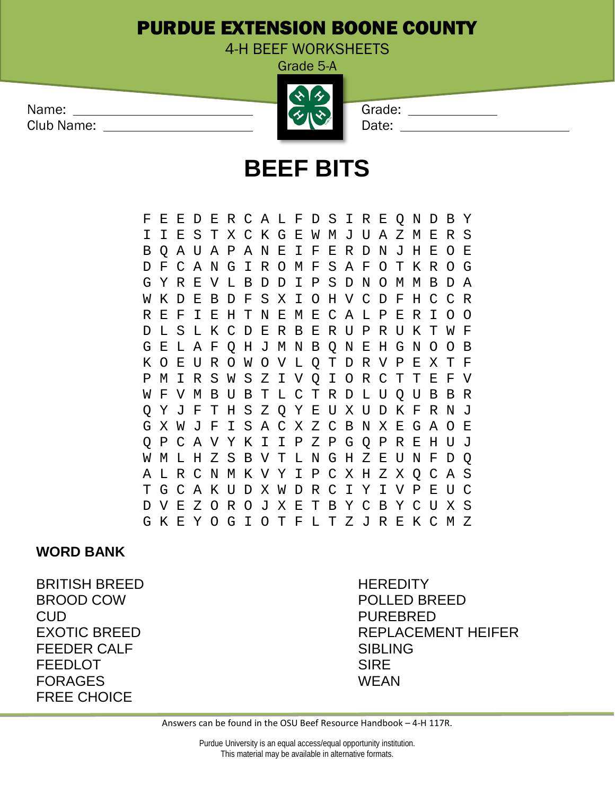## PURDUE EXTENSION BOONE COUNTY

4-H BEEF WORKSHEETS Grade 5-A

## **BEEF BITS**

F E E D E R C A L F D S I R E Q N D B Y I I E S T X C K G E W M J U A Z M E R S B Q A U A P A N E I F E R D N J H E O E D F C A N G I R O M F S A F O T K R O G G Y R E V L B D D I P W K D E B D F S X I O H V C D F H C C R R E F I E H T N E M E C A L P E R I O O D L S L K C D E R B E R U P R U K T W F G E L A F Q H J M N B Q N E H G N O O B K O E U R O W O V L Q T D R V P E X T F P M I R S W S Z I V Q I O R C T T E F V W F V M B U B T L C T R D L U Q U B B R T H S Z Q Y E U X U D K F R N J G X W J F I S A C X Z C B N X E G A O E Q P C A V Y K I I P Z P G Q P R E H U J W M L H Z S B V T L N G H Z E U N F D Q A L R C N M K V Y I P C X H Z X Q C A S T G C A K U D X W D R C I Y I V P E U C D V E Z O R O J X E T B Y C B Y C U X S G K E Y O G I O T F L T Z J R E K C M Z

## **WORD BANK**

BRITISH BREED HEREDITY BROOD COW POLLED BREED CUD PUREBRED FEEDER CALF SIBLING FEEDLOT SIRE FORAGES WEAN FREE CHOICE

EXOTIC BREED REPLACEMENT HEIFER